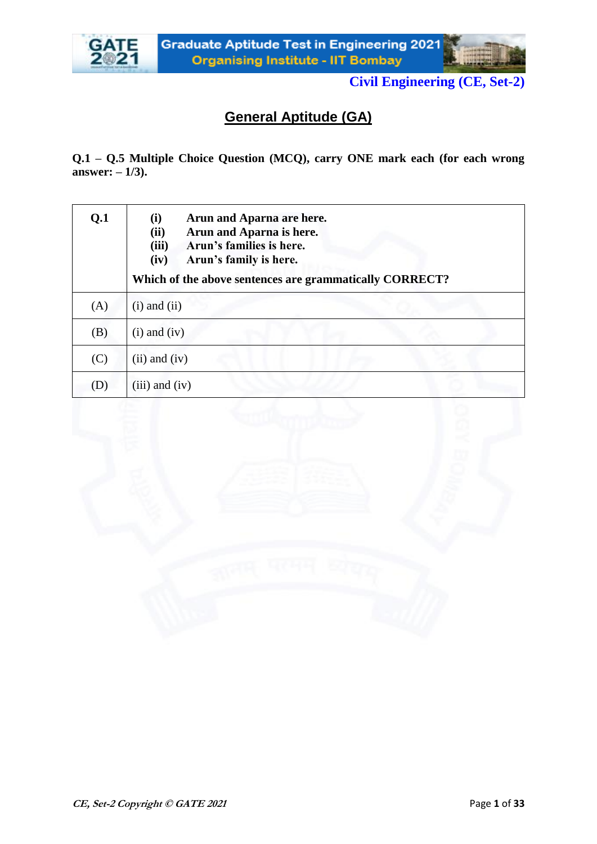



# **General Aptitude (GA)**

**Q.1 – Q.5 Multiple Choice Question (MCQ), carry ONE mark each (for each wrong answer: – 1/3).**

| Q.1 | Arun and Aparna are here.<br>(i)<br>Arun and Aparna is here.<br>(ii)<br>(iii)<br>Arun's families is here.<br>(iv)<br>Arun's family is here.<br>Which of the above sentences are grammatically CORRECT? |
|-----|--------------------------------------------------------------------------------------------------------------------------------------------------------------------------------------------------------|
| (A) | $(i)$ and $(ii)$                                                                                                                                                                                       |
| (B) | $(i)$ and $(iv)$                                                                                                                                                                                       |
| (C) | $(ii)$ and $(iv)$                                                                                                                                                                                      |
| (D) | $(iii)$ and $(iv)$                                                                                                                                                                                     |

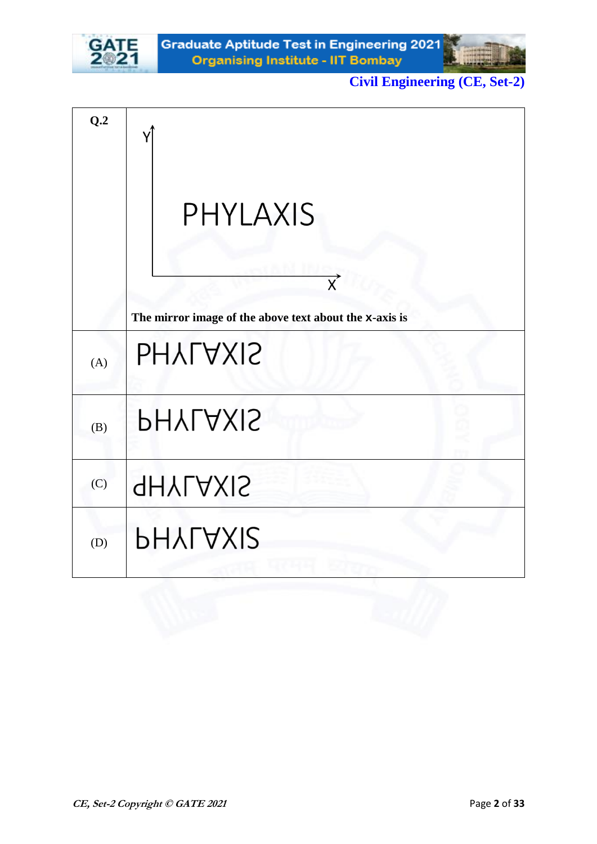



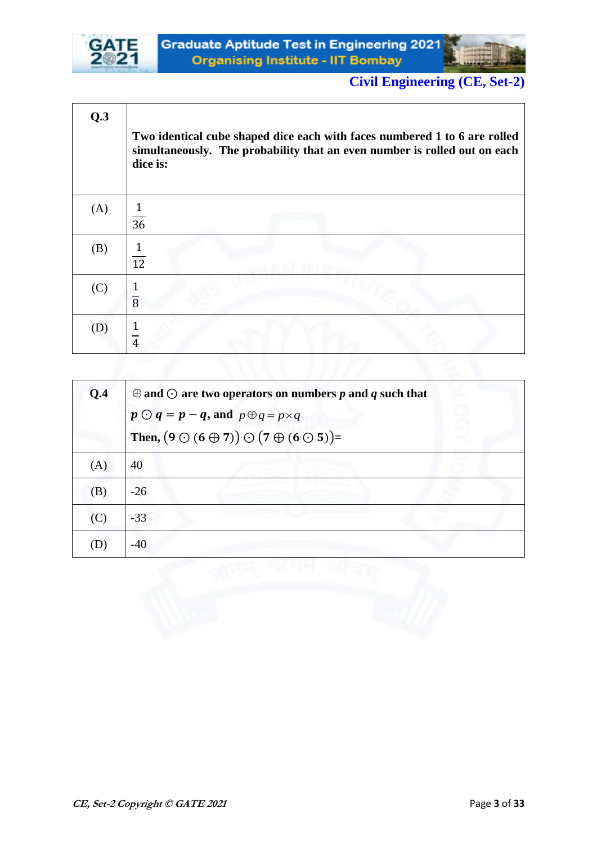



| Q.3 | Two identical cube shaped dice each with faces numbered 1 to 6 are rolled<br>simultaneously. The probability that an even number is rolled out on each<br>dice is: |
|-----|--------------------------------------------------------------------------------------------------------------------------------------------------------------------|
| (A) | 36                                                                                                                                                                 |
| (B) | $\mathbf{1}$<br>$\overline{12}$                                                                                                                                    |
| (C) | 1<br>$\overline{8}$                                                                                                                                                |
| (D) | $\overline{4}$                                                                                                                                                     |
|     |                                                                                                                                                                    |

| Q.4                        | $\oplus$ and $\odot$ are two operators on numbers p and q such that    |
|----------------------------|------------------------------------------------------------------------|
|                            | $p \bigodot q = p - q$ , and $p \bigoplus q = p \times q$              |
|                            | Then, $(9 \bigcirc (6 \oplus 7)) \bigcirc (7 \oplus (6 \bigcirc 5)) =$ |
| (A)                        | 40                                                                     |
| (B)                        | $-26$                                                                  |
| (C)                        | $-33$                                                                  |
| $\left( \mathrm{D}\right)$ | $-40$                                                                  |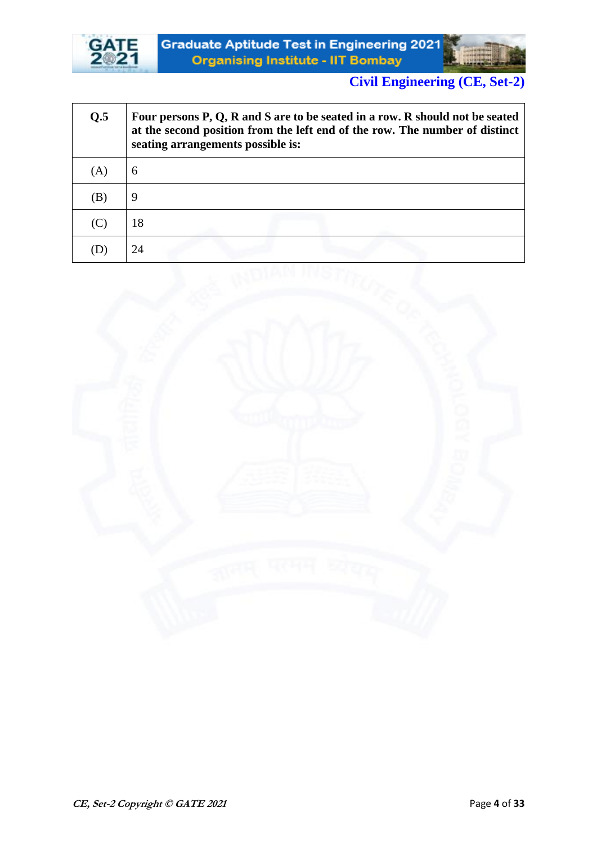



| Q.5                        | Four persons P, Q, R and S are to be seated in a row. R should not be seated<br>at the second position from the left end of the row. The number of distinct<br>seating arrangements possible is: |  |
|----------------------------|--------------------------------------------------------------------------------------------------------------------------------------------------------------------------------------------------|--|
| (A)                        | 6                                                                                                                                                                                                |  |
| $\left( \mathrm{B}\right)$ | 9                                                                                                                                                                                                |  |
| (C)                        | 18                                                                                                                                                                                               |  |
|                            | 24                                                                                                                                                                                               |  |

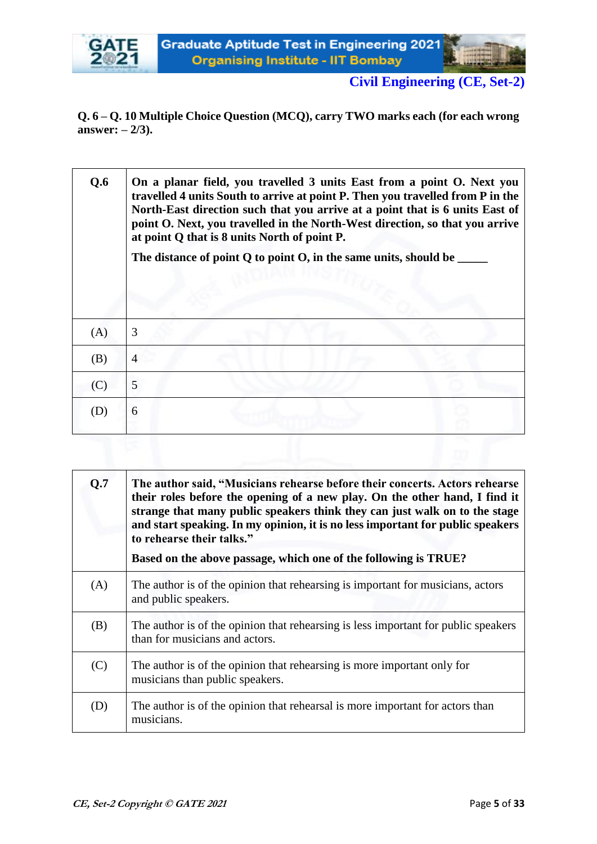

**Q. 6 – Q. 10 Multiple Choice Question (MCQ), carry TWO marks each (for each wrong answer: – 2/3).**

| Q.6 | On a planar field, you travelled 3 units East from a point O. Next you<br>travelled 4 units South to arrive at point P. Then you travelled from P in the<br>North-East direction such that you arrive at a point that is 6 units East of<br>point O. Next, you travelled in the North-West direction, so that you arrive<br>at point Q that is 8 units North of point P.<br>The distance of point $Q$ to point $Q$ , in the same units, should be |
|-----|---------------------------------------------------------------------------------------------------------------------------------------------------------------------------------------------------------------------------------------------------------------------------------------------------------------------------------------------------------------------------------------------------------------------------------------------------|
| (A) | 3                                                                                                                                                                                                                                                                                                                                                                                                                                                 |
| (B) | 4                                                                                                                                                                                                                                                                                                                                                                                                                                                 |
| (C) | 5                                                                                                                                                                                                                                                                                                                                                                                                                                                 |
| (D) | 6                                                                                                                                                                                                                                                                                                                                                                                                                                                 |
|     |                                                                                                                                                                                                                                                                                                                                                                                                                                                   |

| Q.7 | The author said, "Musicians rehearse before their concerts. Actors rehearse<br>their roles before the opening of a new play. On the other hand, I find it<br>strange that many public speakers think they can just walk on to the stage<br>and start speaking. In my opinion, it is no less important for public speakers<br>to rehearse their talks."<br>Based on the above passage, which one of the following is TRUE? |
|-----|---------------------------------------------------------------------------------------------------------------------------------------------------------------------------------------------------------------------------------------------------------------------------------------------------------------------------------------------------------------------------------------------------------------------------|
| (A) | The author is of the opinion that rehearing is important for musicians, actors<br>and public speakers.                                                                                                                                                                                                                                                                                                                    |
| (B) | The author is of the opinion that rehearing is less important for public speakers<br>than for musicians and actors.                                                                                                                                                                                                                                                                                                       |
| (C) | The author is of the opinion that rehearing is more important only for<br>musicians than public speakers.                                                                                                                                                                                                                                                                                                                 |
| (D) | The author is of the opinion that rehearsal is more important for actors than<br>musicians.                                                                                                                                                                                                                                                                                                                               |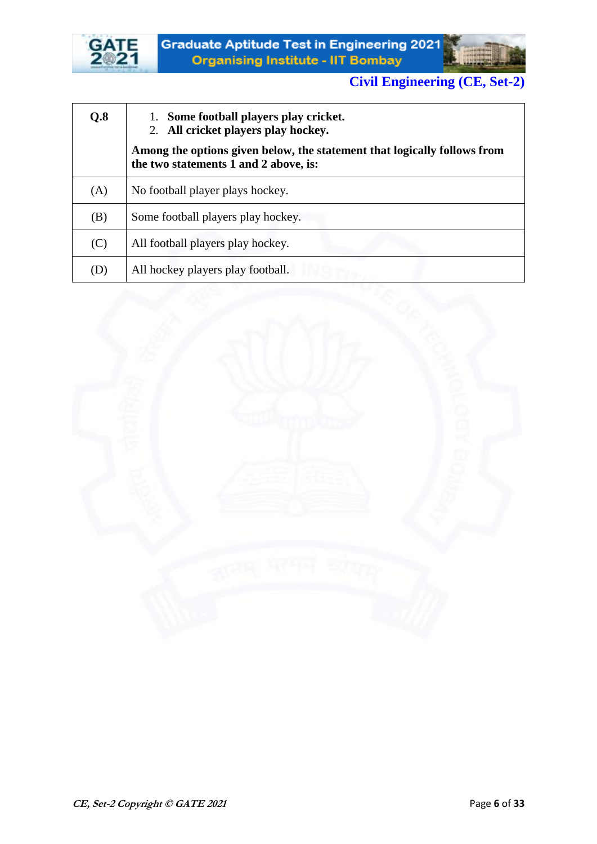



| Q.8 | 1. Some football players play cricket.<br>2. All cricket players play hockey.                                     |
|-----|-------------------------------------------------------------------------------------------------------------------|
|     | Among the options given below, the statement that logically follows from<br>the two statements 1 and 2 above, is: |
| (A) | No football player plays hockey.                                                                                  |
| (B) | Some football players play hockey.                                                                                |
| (C) | All football players play hockey.                                                                                 |
| (D) | All hockey players play football.                                                                                 |

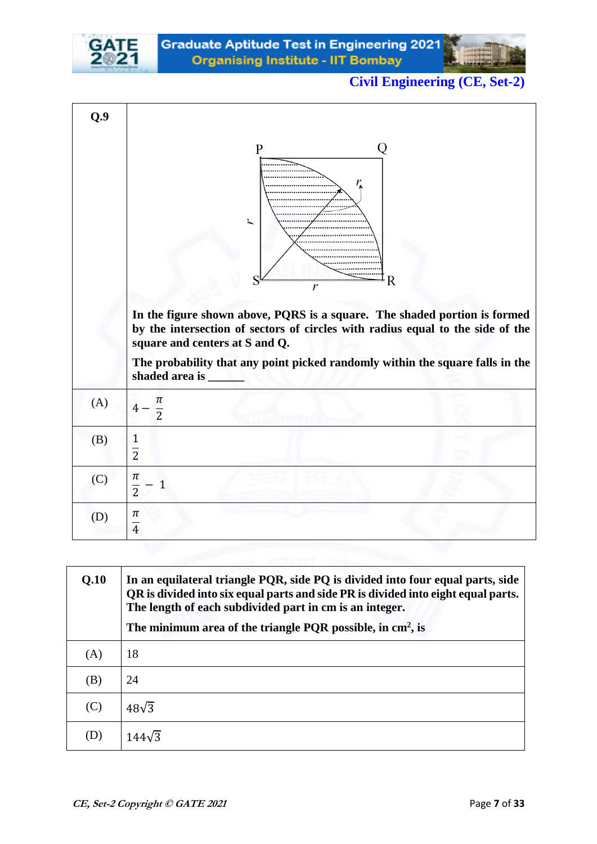



| Q.9 |                                                                                                                                                                                                                                                                                                                                        |
|-----|----------------------------------------------------------------------------------------------------------------------------------------------------------------------------------------------------------------------------------------------------------------------------------------------------------------------------------------|
|     | Q<br>$\mathbf{P}$<br>ユ<br>R<br>r<br>In the figure shown above, PQRS is a square. The shaded portion is formed<br>by the intersection of sectors of circles with radius equal to the side of the<br>square and centers at S and Q.<br>The probability that any point picked randomly within the square falls in the<br>shaded area is _ |
| (A) | π<br>$\overline{2}$                                                                                                                                                                                                                                                                                                                    |
| (B) | $\mathbf{1}$<br>$\overline{2}$                                                                                                                                                                                                                                                                                                         |
| (C) | $\pi$<br>$\mathbf{1}$<br>$\overline{2}$                                                                                                                                                                                                                                                                                                |
| (D) | $\pi$<br>$\overline{4}$                                                                                                                                                                                                                                                                                                                |

| Q.10 | In an equilateral triangle PQR, side PQ is divided into four equal parts, side<br>QR is divided into six equal parts and side PR is divided into eight equal parts.<br>The length of each subdivided part in cm is an integer. |
|------|--------------------------------------------------------------------------------------------------------------------------------------------------------------------------------------------------------------------------------|
|      | The minimum area of the triangle PQR possible, in $\text{cm}^2$ , is                                                                                                                                                           |
| (A)  | 18                                                                                                                                                                                                                             |
| (B)  | 24                                                                                                                                                                                                                             |
| (C)  | $48\sqrt{3}$                                                                                                                                                                                                                   |
| D)   | $144\sqrt{3}$                                                                                                                                                                                                                  |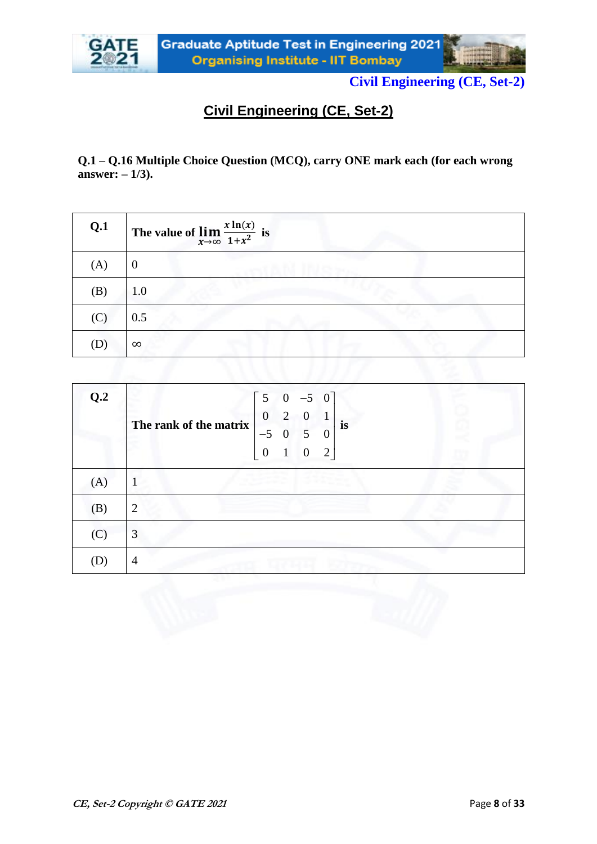

**Q.1 – Q.16 Multiple Choice Question (MCQ), carry ONE mark each (for each wrong answer: – 1/3).**

| Q.1                        | The value of $\lim_{x\to\infty} \frac{x \ln(x)}{1+x^2}$ is |
|----------------------------|------------------------------------------------------------|
| (A)                        |                                                            |
| (B)                        | 1.0                                                        |
| (C)                        | 0.5                                                        |
| $\left( \mathrm{D}\right)$ | $\infty$                                                   |

| Q.2 | $5 \t 0 \t -5 \t 0$<br>$\boldsymbol{0}$<br>2<br>$\Omega$<br>The rank of the matrix<br><i>is</i><br>$-5$<br>$\overline{0}$<br>5<br>$\theta$<br>$\overline{2}$<br>$\overline{0}$<br>$\boldsymbol{0}$ |  |
|-----|----------------------------------------------------------------------------------------------------------------------------------------------------------------------------------------------------|--|
| (A) |                                                                                                                                                                                                    |  |
| (B) | 2                                                                                                                                                                                                  |  |
| (C) | 3                                                                                                                                                                                                  |  |
| (D) | 4                                                                                                                                                                                                  |  |

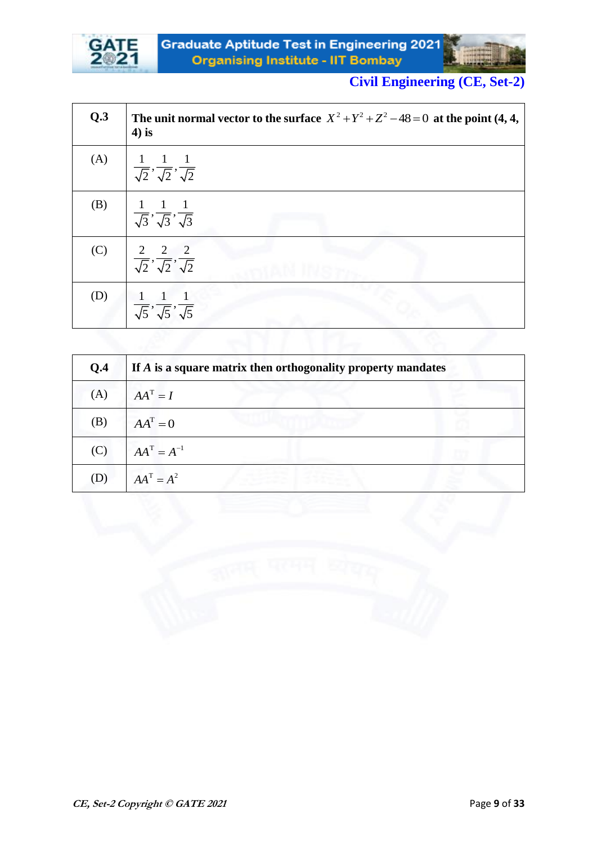



| Q.3 | The unit normal vector to the surface $X^2 + Y^2 + Z^2 - 48 = 0$ at the point (4, 4,<br>$4$ ) is |
|-----|--------------------------------------------------------------------------------------------------|
| (A) | $\frac{1}{\sqrt{2}}, \frac{1}{\sqrt{2}}, \frac{1}{\sqrt{2}}$                                     |
| (B) | $\frac{1}{\sqrt{3}}, \frac{1}{\sqrt{3}}, \frac{1}{\sqrt{3}}$                                     |
| (C) | $\frac{2}{\sqrt{2}}, \frac{2}{\sqrt{2}}, \frac{2}{\sqrt{2}}$                                     |
| (D) | $\frac{1}{\sqrt{5}}, \frac{1}{\sqrt{5}}, \frac{1}{\sqrt{5}}$                                     |
|     |                                                                                                  |

| Q.4 | If A is a square matrix then orthogonality property mandates |
|-----|--------------------------------------------------------------|
| (A) | $AA^T = I$                                                   |
| (B) | $AA^T=0$                                                     |
| (C) | $AA^T = A^{-1}$                                              |
| (D) | $AA^T = A^2$                                                 |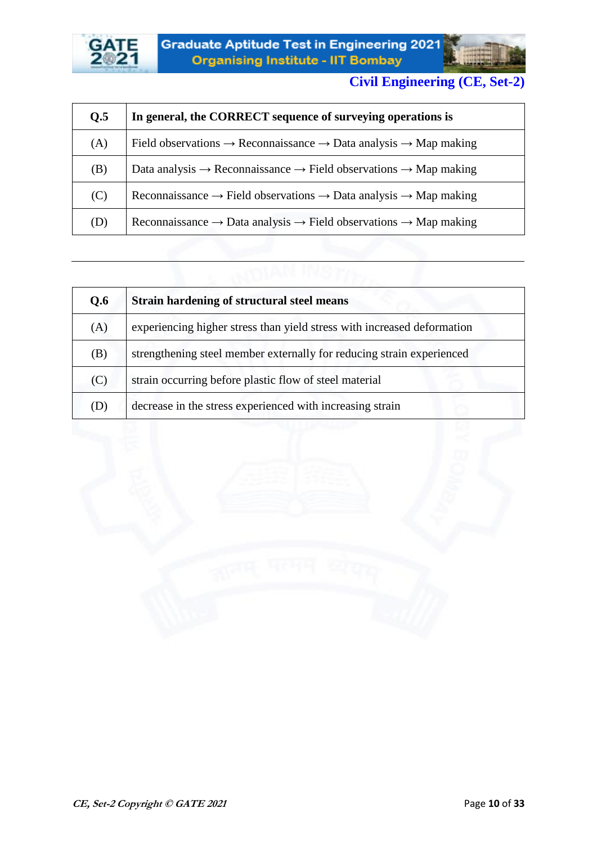



| Q.5 | In general, the CORRECT sequence of surveying operations is                                          |
|-----|------------------------------------------------------------------------------------------------------|
| (A) | Field observations $\rightarrow$ Reconnaissance $\rightarrow$ Data analysis $\rightarrow$ Map making |
| (B) | Data analysis $\rightarrow$ Reconnaissance $\rightarrow$ Field observations $\rightarrow$ Map making |
| (C) | Reconnaissance $\rightarrow$ Field observations $\rightarrow$ Data analysis $\rightarrow$ Map making |
| (D) | Reconnaissance $\rightarrow$ Data analysis $\rightarrow$ Field observations $\rightarrow$ Map making |

| Q.6 | Strain hardening of structural steel means                              |
|-----|-------------------------------------------------------------------------|
| (A) | experiencing higher stress than yield stress with increased deformation |
| (B) | strengthening steel member externally for reducing strain experienced   |
| (C) | strain occurring before plastic flow of steel material                  |
| (D) | decrease in the stress experienced with increasing strain               |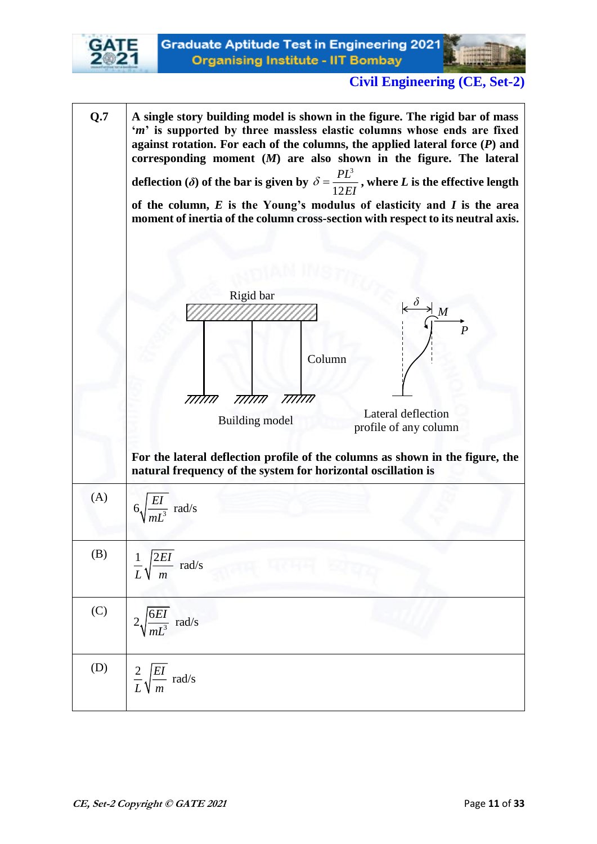

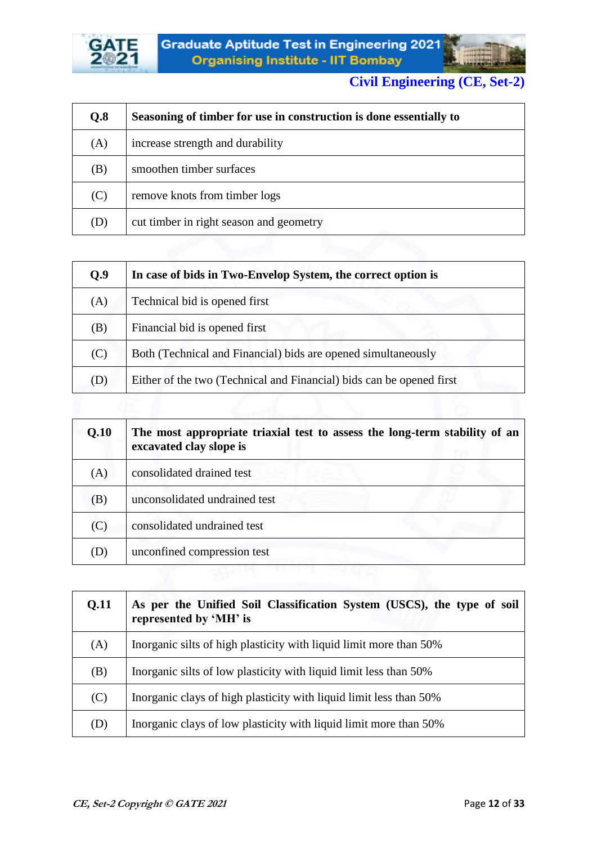



| Q.8 | Seasoning of timber for use in construction is done essentially to |
|-----|--------------------------------------------------------------------|
| (A) | increase strength and durability                                   |
| (B) | smoothen timber surfaces                                           |
| (C) | remove knots from timber logs                                      |
| (D) | cut timber in right season and geometry                            |

| Q.9 | In case of bids in Two-Envelop System, the correct option is         |
|-----|----------------------------------------------------------------------|
| (A) | Technical bid is opened first                                        |
| (B) | Financial bid is opened first                                        |
| (C) | Both (Technical and Financial) bids are opened simultaneously        |
| (D) | Either of the two (Technical and Financial) bids can be opened first |

| Q.10 | The most appropriate triaxial test to assess the long-term stability of an<br>excavated clay slope is |
|------|-------------------------------------------------------------------------------------------------------|
| (A)  | consolidated drained test                                                                             |
| (B)  | unconsolidated undrained test                                                                         |
| (C)  | consolidated undrained test                                                                           |
| (D)  | unconfined compression test                                                                           |

| Q.11 | As per the Unified Soil Classification System (USCS), the type of soil<br>represented by 'MH' is |
|------|--------------------------------------------------------------------------------------------------|
| (A)  | Inorganic silts of high plasticity with liquid limit more than 50%                               |
| (B)  | Inorganic silts of low plasticity with liquid limit less than 50%                                |
| (C)  | Inorganic clays of high plasticity with liquid limit less than 50%                               |
| (D)  | Inorganic clays of low plasticity with liquid limit more than 50%                                |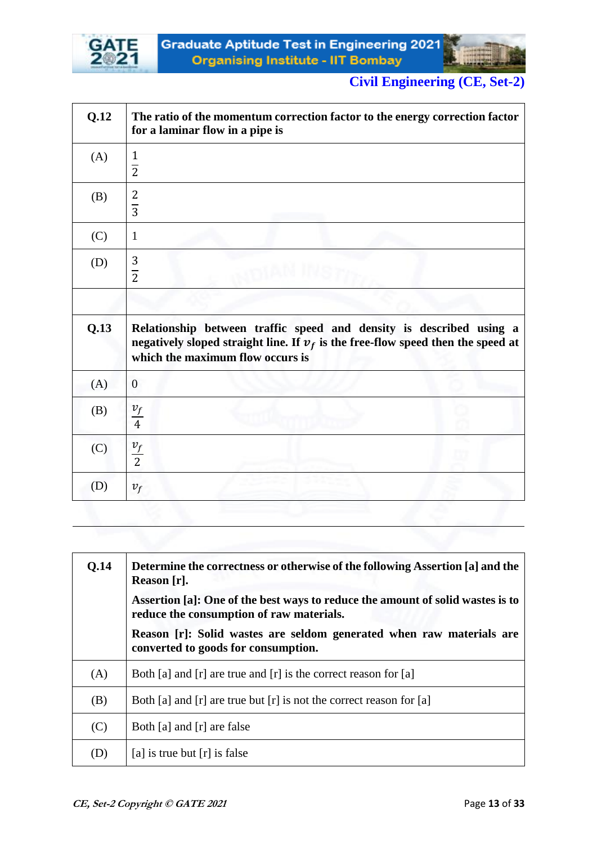



| Q.12 | The ratio of the momentum correction factor to the energy correction factor<br>for a laminar flow in a pipe is                                                                                |
|------|-----------------------------------------------------------------------------------------------------------------------------------------------------------------------------------------------|
| (A)  | $\frac{1}{2}$                                                                                                                                                                                 |
| (B)  | $rac{2}{3}$                                                                                                                                                                                   |
| (C)  | $\mathbf{1}$                                                                                                                                                                                  |
| (D)  | $rac{3}{2}$                                                                                                                                                                                   |
|      |                                                                                                                                                                                               |
| Q.13 | Relationship between traffic speed and density is described using a<br>negatively sloped straight line. If $v_f$ is the free-flow speed then the speed at<br>which the maximum flow occurs is |
| (A)  | $\mathbf{0}$                                                                                                                                                                                  |
| (B)  | $\frac{v_f}{4}$                                                                                                                                                                               |
| (C)  | $\frac{v_f}{2}$                                                                                                                                                                               |
| (D)  | $v_f$                                                                                                                                                                                         |

| <b>O.14</b> | <b>Determine the correctness or otherwise of the following Assertion [a] and the</b><br>Reason [r].                        |
|-------------|----------------------------------------------------------------------------------------------------------------------------|
|             | Assertion [a]: One of the best ways to reduce the amount of solid wastes is to<br>reduce the consumption of raw materials. |
|             | Reason [r]: Solid wastes are seldom generated when raw materials are<br>converted to goods for consumption.                |
| (A)         | Both [a] and [r] are true and [r] is the correct reason for [a]                                                            |
| (B)         | Both [a] and [r] are true but [r] is not the correct reason for [a]                                                        |
| (C)         | Both [a] and [r] are false                                                                                                 |
| (D)         | [a] is true but $[r]$ is false                                                                                             |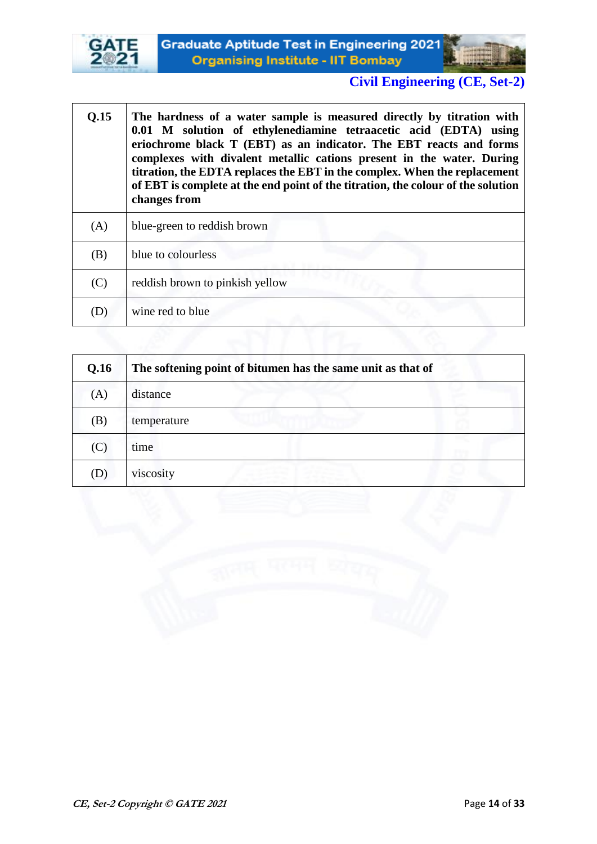



| Q.15 | The hardness of a water sample is measured directly by titration with<br>0.01 M solution of ethylenediamine tetraacetic acid (EDTA) using<br>eriochrome black T (EBT) as an indicator. The EBT reacts and forms<br>complexes with divalent metallic cations present in the water. During<br>titration, the EDTA replaces the EBT in the complex. When the replacement<br>of EBT is complete at the end point of the titration, the colour of the solution<br>changes from |
|------|---------------------------------------------------------------------------------------------------------------------------------------------------------------------------------------------------------------------------------------------------------------------------------------------------------------------------------------------------------------------------------------------------------------------------------------------------------------------------|
| (A)  | blue-green to reddish brown                                                                                                                                                                                                                                                                                                                                                                                                                                               |
| (B)  | blue to colourless                                                                                                                                                                                                                                                                                                                                                                                                                                                        |
| (C)  | reddish brown to pinkish yellow                                                                                                                                                                                                                                                                                                                                                                                                                                           |
| (D)  | wine red to blue                                                                                                                                                                                                                                                                                                                                                                                                                                                          |

| Q.16 | The softening point of bitumen has the same unit as that of |  |
|------|-------------------------------------------------------------|--|
| (A)  | distance                                                    |  |
| (B)  | temperature                                                 |  |
| (C)  | time                                                        |  |
| (D)  | viscosity                                                   |  |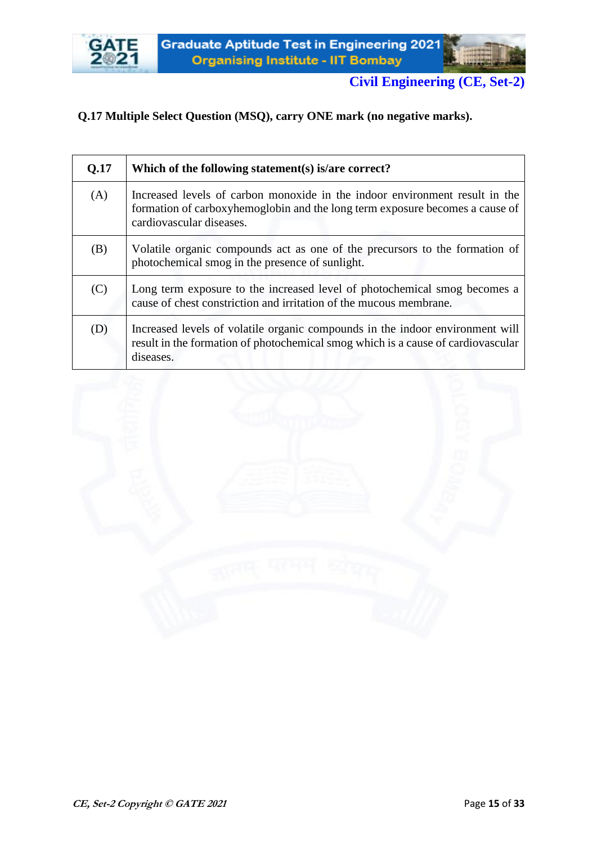



#### **Q.17 Multiple Select Question (MSQ), carry ONE mark (no negative marks).**

| Q.17 | Which of the following statement(s) is/are correct?                                                                                                                                     |
|------|-----------------------------------------------------------------------------------------------------------------------------------------------------------------------------------------|
| (A)  | Increased levels of carbon monoxide in the indoor environment result in the<br>formation of carboxyhemoglobin and the long term exposure becomes a cause of<br>cardiovascular diseases. |
| (B)  | Volatile organic compounds act as one of the precursors to the formation of<br>photochemical smog in the presence of sunlight.                                                          |
| (C)  | Long term exposure to the increased level of photochemical smog becomes a<br>cause of chest constriction and irritation of the mucous membrane.                                         |
| (D)  | Increased levels of volatile organic compounds in the indoor environment will<br>result in the formation of photochemical smog which is a cause of cardiovascular<br>diseases.          |

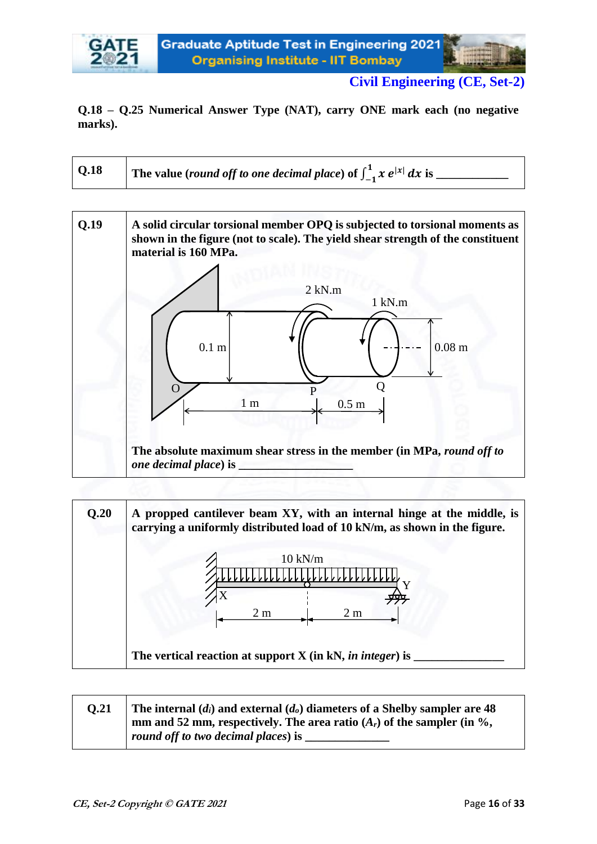#### **Q.18 – Q.25 Numerical Answer Type (NAT), carry ONE mark each (no negative marks).**

| The value (round off to one decimal place) of $\int_{-1}^{1} x e^{ x } dx$ is |
|-------------------------------------------------------------------------------|
|                                                                               |

**Q.19 A solid circular torsional member OPQ is subjected to torsional moments as shown in the figure (not to scale). The yield shear strength of the constituent material is 160 MPa. The absolute maximum shear stress in the member (in MPa,** *round off to one decimal place*) is 1 kN.m 2 kN.m 0.1 m 0.08 m 1 m 1 m 1 m 1 m O P Q



| 0.21 | The internal $(d_i)$ and external $(d_o)$ diameters of a Shelby sampler are 48 |
|------|--------------------------------------------------------------------------------|
|      | mm and 52 mm, respectively. The area ratio $(A_r)$ of the sampler (in %,       |
|      | round off to two decimal places) is                                            |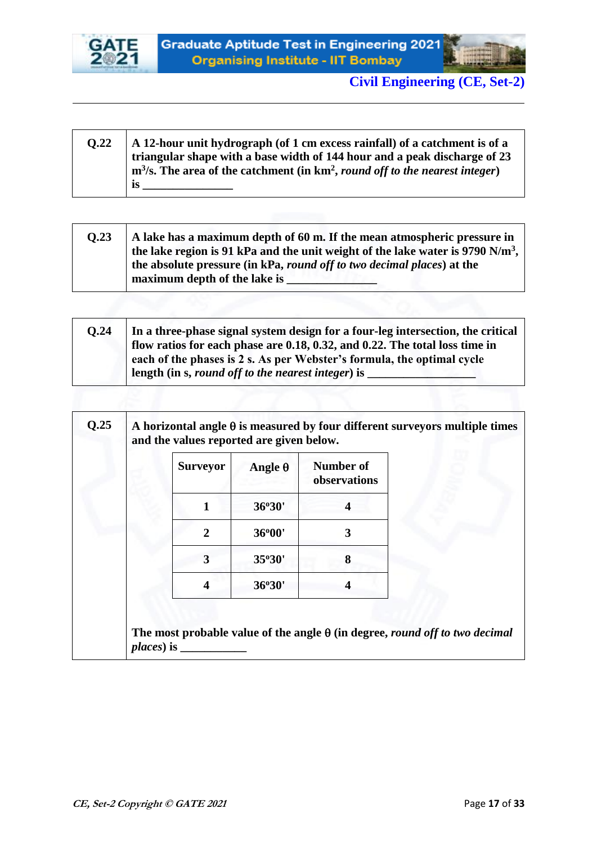



| 0.22 | A 12-hour unit hydrograph (of 1 cm excess rainfall) of a catchment is of a                 |
|------|--------------------------------------------------------------------------------------------|
|      | triangular shape with a base width of 144 hour and a peak discharge of 23                  |
|      | $m3/s$ . The area of the catchment (in km <sup>2</sup> , round off to the nearest integer) |
|      | <b>18</b>                                                                                  |

| 0.23 | A lake has a maximum depth of 60 m. If the mean atmospheric pressure in<br>the lake region is 91 kPa and the unit weight of the lake water is 9790 N/m <sup>3</sup> , |
|------|-----------------------------------------------------------------------------------------------------------------------------------------------------------------------|
|      | the absolute pressure (in kPa, <i>round off to two decimal places</i> ) at the<br>maximum depth of the lake is                                                        |

| O.24 | In a three-phase signal system design for a four-leg intersection, the critical |
|------|---------------------------------------------------------------------------------|
|      | flow ratios for each phase are 0.18, 0.32, and 0.22. The total loss time in     |
|      | each of the phases is 2 s. As per Webster's formula, the optimal cycle          |
|      | length (in s, round off to the nearest integer) is                              |

|  | and the values reported are given below. |                |                                  |
|--|------------------------------------------|----------------|----------------------------------|
|  | <b>Surveyor</b>                          | Angle $\theta$ | <b>Number of</b><br>observations |
|  |                                          | 36°30'         |                                  |
|  | 2                                        | 36°00'         | 3                                |
|  | 3                                        | 35°30'         | 8                                |
|  | 4                                        | 36°30'         | 4                                |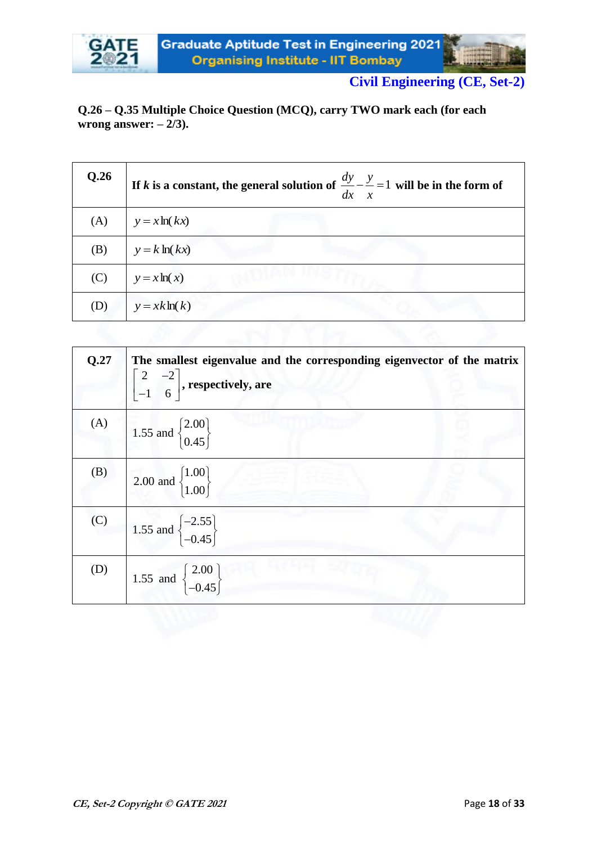

#### **Q.26 – Q.35 Multiple Choice Question (MCQ), carry TWO mark each (for each wrong answer: – 2/3).**

| Q.26 | If <i>k</i> is a constant, the general solution of $\frac{dy}{dx} - \frac{y}{x} = 1$ will be in the form of |
|------|-------------------------------------------------------------------------------------------------------------|
| (A)  | $y = x \ln(kx)$                                                                                             |
| (B)  | $y = k \ln(kx)$                                                                                             |
| (C)  | $y = x \ln(x)$                                                                                              |
| (D)  | $y = xk\ln(k)$                                                                                              |

| Q.27 | The smallest eigenvalue and the corresponding eigenvector of the matrix<br>$\begin{bmatrix} 2 & -2 \\ -1 & 6 \end{bmatrix}$ , respectively, are |
|------|-------------------------------------------------------------------------------------------------------------------------------------------------|
| (A)  | 1.55 and $\begin{Bmatrix} 2.00 \\ 0.45 \end{Bmatrix}$                                                                                           |
| (B)  | 2.00 and $\begin{Bmatrix} 1.00 \\ 1.00 \end{Bmatrix}$                                                                                           |
| (C)  | 1.55 and $\begin{cases} -2.55 \\ -0.45 \end{cases}$                                                                                             |
| (D)  | 1.55 and $\begin{Bmatrix} 2.00 \\ -0.45 \end{Bmatrix}$                                                                                          |
|      |                                                                                                                                                 |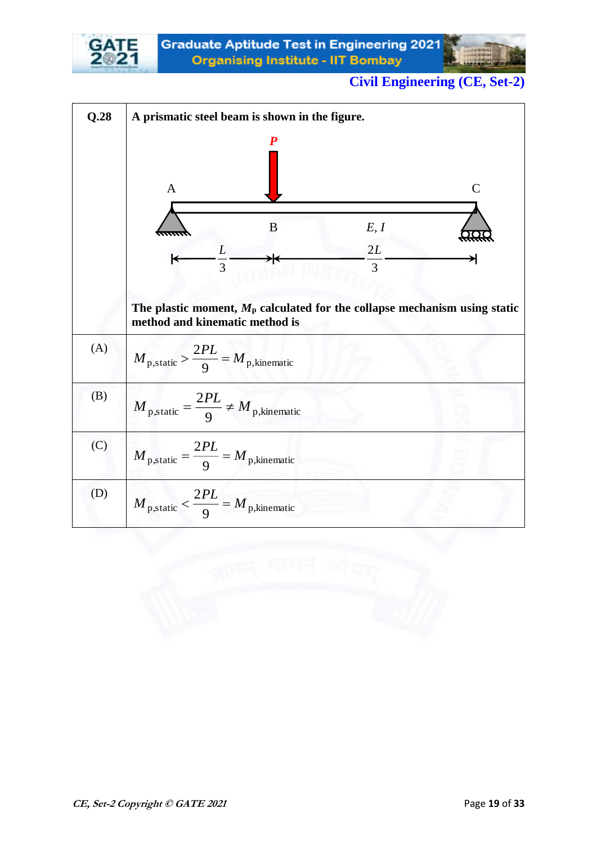

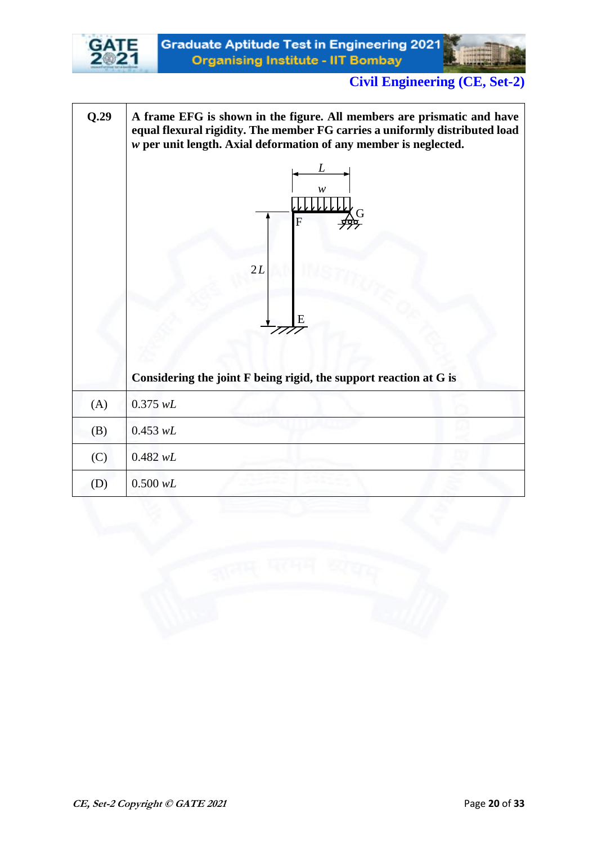

**Q.29 A frame EFG is shown in the figure. All members are prismatic and have equal flexural rigidity. The member FG carries a uniformly distributed load**  *w* **per unit length. Axial deformation of any member is neglected. Considering the joint F being rigid, the support reaction at G is**  (A) 0.375 *wL* (B) 0.453 *wL*  $(C)$  0.482 *wL* (D) 0.500 *wL w*  G F 2 *L*E *L*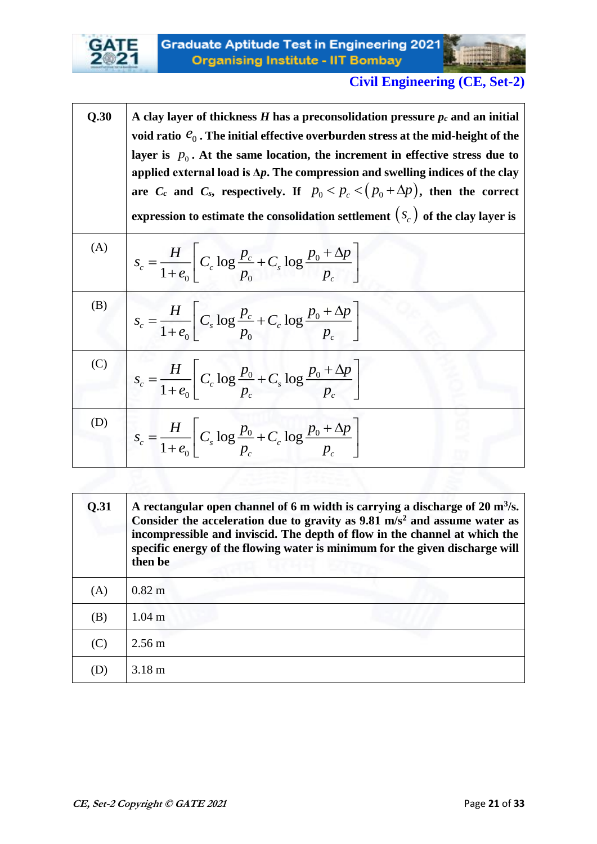

 $\top$ 

 $\overline{\phantom{a}}$ 

# **Civil Engineering (CE, Set-2)**

 $\overline{\phantom{0}}$ 

| Q.30 | A clay layer of thickness H has a preconsolidation pressure $p_c$ and an initial<br>void ratio $e_0$ . The initial effective overburden stress at the mid-height of the<br>layer is $p_0$ . At the same location, the increment in effective stress due to<br>applied external load is $\Delta p$ . The compression and swelling indices of the clay<br>are $C_c$ and $C_s$ , respectively. If $p_0 < p_c < (p_0 + \Delta p)$ , then the correct<br>expression to estimate the consolidation settlement $(s_c)$ of the clay layer is |
|------|--------------------------------------------------------------------------------------------------------------------------------------------------------------------------------------------------------------------------------------------------------------------------------------------------------------------------------------------------------------------------------------------------------------------------------------------------------------------------------------------------------------------------------------|
| (A)  | $s_c = \frac{H}{1+e_0} C_c \log \frac{p_c}{p_0} + C_s \log \frac{p_0 + \Delta p}{p_c}$                                                                                                                                                                                                                                                                                                                                                                                                                                               |
| (B)  | $s_c = \frac{H}{1+e_0} C_s \log \frac{p_c}{p_0} + C_c \log \frac{p_0 + \Delta p}{p_c}$                                                                                                                                                                                                                                                                                                                                                                                                                                               |
| (C)  | $s_c = \frac{H}{1+e_0} \left[ C_c \log \frac{p_0}{p_c} + C_s \log \frac{p_0 + \Delta p}{p_c} \right]$                                                                                                                                                                                                                                                                                                                                                                                                                                |
| (D)  | $s_c = \frac{H}{1+e_0} \left[ C_s \log \frac{p_0}{p_c} + C_c \log \frac{p_0 + \Delta p}{p_c} \right]$                                                                                                                                                                                                                                                                                                                                                                                                                                |

| Q.31 | A rectangular open channel of 6 m width is carrying a discharge of 20 $m3/s$ .<br>Consider the acceleration due to gravity as $9.81 \text{ m/s}^2$ and assume water as<br>incompressible and inviscid. The depth of flow in the channel at which the<br>specific energy of the flowing water is minimum for the given discharge will<br>then be |
|------|-------------------------------------------------------------------------------------------------------------------------------------------------------------------------------------------------------------------------------------------------------------------------------------------------------------------------------------------------|
| (A)  | $0.82 \text{ m}$                                                                                                                                                                                                                                                                                                                                |
| (B)  | 1.04 <sub>m</sub>                                                                                                                                                                                                                                                                                                                               |
| (C)  | $2.56 \text{ m}$                                                                                                                                                                                                                                                                                                                                |
| (D)  | $3.18 \text{ m}$                                                                                                                                                                                                                                                                                                                                |

EL ABBREAL AS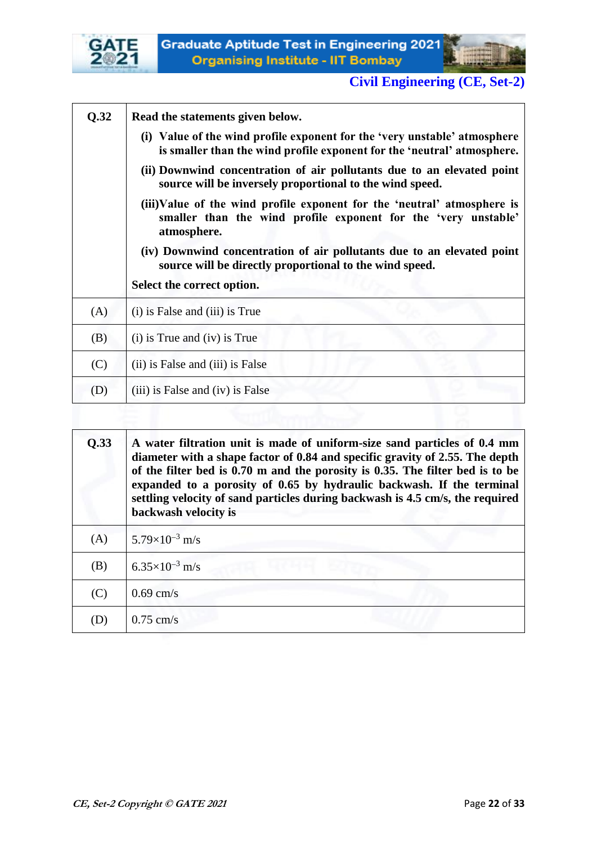



| Q.32 | Read the statements given below.                                                                                                                         |
|------|----------------------------------------------------------------------------------------------------------------------------------------------------------|
|      | (i) Value of the wind profile exponent for the 'very unstable' atmosphere<br>is smaller than the wind profile exponent for the 'neutral' atmosphere.     |
|      | (ii) Downwind concentration of air pollutants due to an elevated point<br>source will be inversely proportional to the wind speed.                       |
|      | (iii)Value of the wind profile exponent for the 'neutral' atmosphere is<br>smaller than the wind profile exponent for the 'very unstable'<br>atmosphere. |
|      | (iv) Downwind concentration of air pollutants due to an elevated point<br>source will be directly proportional to the wind speed.                        |
|      | Select the correct option.                                                                                                                               |
| (A)  | (i) is False and (iii) is True                                                                                                                           |
| (B)  | $(i)$ is True and $(iv)$ is True                                                                                                                         |
| (C)  | (ii) is False and (iii) is False                                                                                                                         |
| (D)  | (iii) is False and (iv) is False                                                                                                                         |
|      |                                                                                                                                                          |

| Q.33<br>A water filtration unit is made of uniform-size sand particles of 0.4 mm<br>diameter with a shape factor of 0.84 and specific gravity of 2.55. The depth<br>of the filter bed is 0.70 m and the porosity is 0.35. The filter bed is to be<br>expanded to a porosity of 0.65 by hydraulic backwash. If the terminal<br>settling velocity of sand particles during backwash is 4.5 cm/s, the required<br>backwash velocity is |                         |
|-------------------------------------------------------------------------------------------------------------------------------------------------------------------------------------------------------------------------------------------------------------------------------------------------------------------------------------------------------------------------------------------------------------------------------------|-------------------------|
| (A)                                                                                                                                                                                                                                                                                                                                                                                                                                 | $5.79\times10^{-3}$ m/s |
| (B)                                                                                                                                                                                                                                                                                                                                                                                                                                 | $6.35\times10^{-3}$ m/s |
| (C)                                                                                                                                                                                                                                                                                                                                                                                                                                 | $0.69$ cm/s             |
| (D)                                                                                                                                                                                                                                                                                                                                                                                                                                 | $0.75$ cm/s             |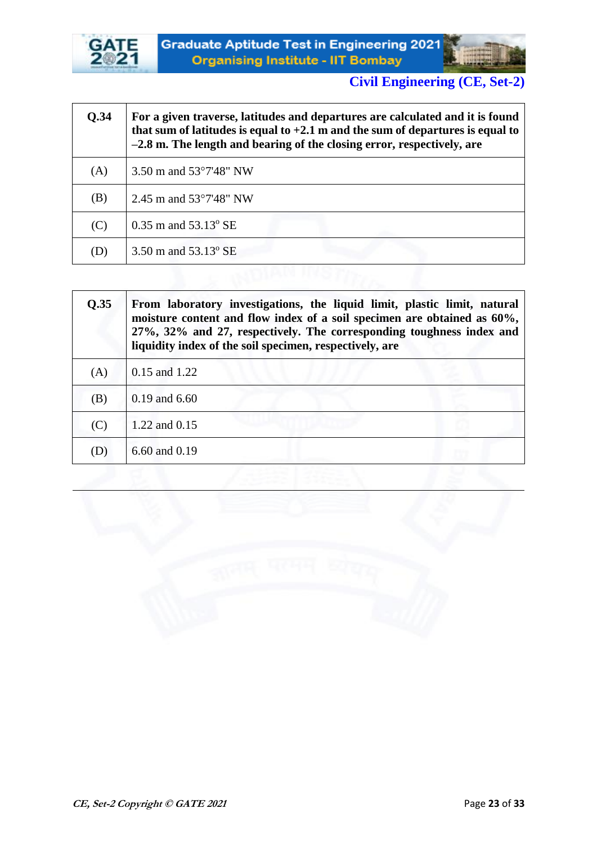



| <b>O.34</b> | For a given traverse, latitudes and departures are calculated and it is found<br>that sum of latitudes is equal to $+2.1$ m and the sum of departures is equal to<br>-2.8 m. The length and bearing of the closing error, respectively, are |
|-------------|---------------------------------------------------------------------------------------------------------------------------------------------------------------------------------------------------------------------------------------------|
| (A)         | 3.50 m and $53^{\circ}7'48''$ NW                                                                                                                                                                                                            |
| (B)         | 2.45 m and $53^{\circ}7'48''$ NW                                                                                                                                                                                                            |
| (C)         | $0.35$ m and $53.13^{\circ}$ SE                                                                                                                                                                                                             |
| (D)         | 3.50 m and $53.13^{\circ}$ SE                                                                                                                                                                                                               |
|             |                                                                                                                                                                                                                                             |

| Q.35 | From laboratory investigations, the liquid limit, plastic limit, natural<br>moisture content and flow index of a soil specimen are obtained as 60%,<br>27%, 32% and 27, respectively. The corresponding toughness index and<br>liquidity index of the soil specimen, respectively, are |
|------|----------------------------------------------------------------------------------------------------------------------------------------------------------------------------------------------------------------------------------------------------------------------------------------|
| (A)  | 0.15 and 1.22                                                                                                                                                                                                                                                                          |
| (B)  | $0.19$ and $6.60$                                                                                                                                                                                                                                                                      |
| (C)  | 1.22 and 0.15                                                                                                                                                                                                                                                                          |
| (D)  | 6.60 and 0.19                                                                                                                                                                                                                                                                          |

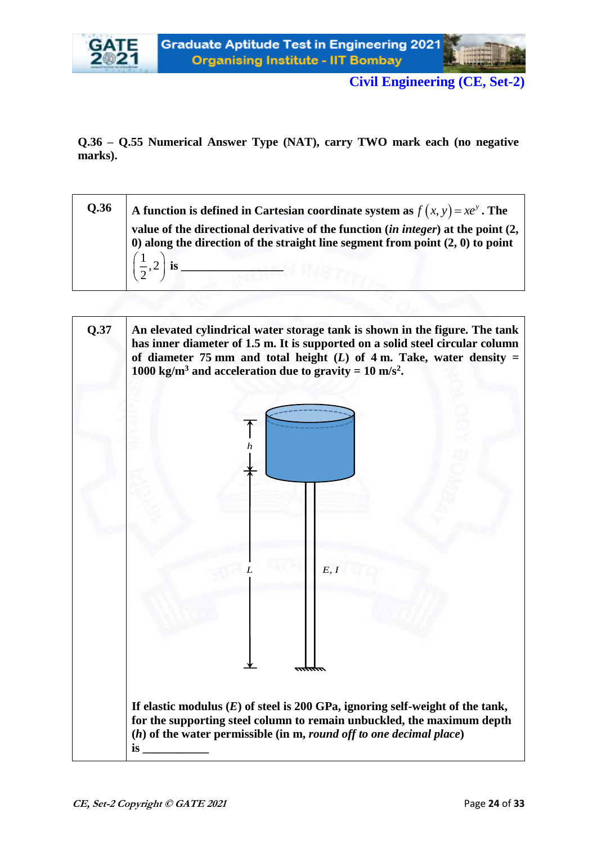



**Q.36 – Q.55 Numerical Answer Type (NAT), carry TWO mark each (no negative marks).**

| <b>Q.36</b> | A function is defined in Cartesian coordinate system as $f(x, y) = xe^y$ . The                                                                                                |
|-------------|-------------------------------------------------------------------------------------------------------------------------------------------------------------------------------|
|             | value of the directional derivative of the function (in integer) at the point (2,<br>$\theta$ ) along the direction of the straight line segment from point $(2, 0)$ to point |
|             |                                                                                                                                                                               |

| Q.37 | An elevated cylindrical water storage tank is shown in the figure. The tank<br>has inner diameter of 1.5 m. It is supported on a solid steel circular column<br>of diameter 75 mm and total height $(L)$ of 4 m. Take, water density =<br>1000 kg/m <sup>3</sup> and acceleration due to gravity = 10 m/s <sup>2</sup> . |
|------|--------------------------------------------------------------------------------------------------------------------------------------------------------------------------------------------------------------------------------------------------------------------------------------------------------------------------|
|      |                                                                                                                                                                                                                                                                                                                          |
|      |                                                                                                                                                                                                                                                                                                                          |
|      |                                                                                                                                                                                                                                                                                                                          |
|      | E, I                                                                                                                                                                                                                                                                                                                     |
|      |                                                                                                                                                                                                                                                                                                                          |
|      | If elastic modulus $(E)$ of steel is 200 GPa, ignoring self-weight of the tank,<br>for the supporting steel column to remain unbuckled, the maximum depth<br>$(h)$ of the water permissible (in m, round off to one decimal place)<br>is                                                                                 |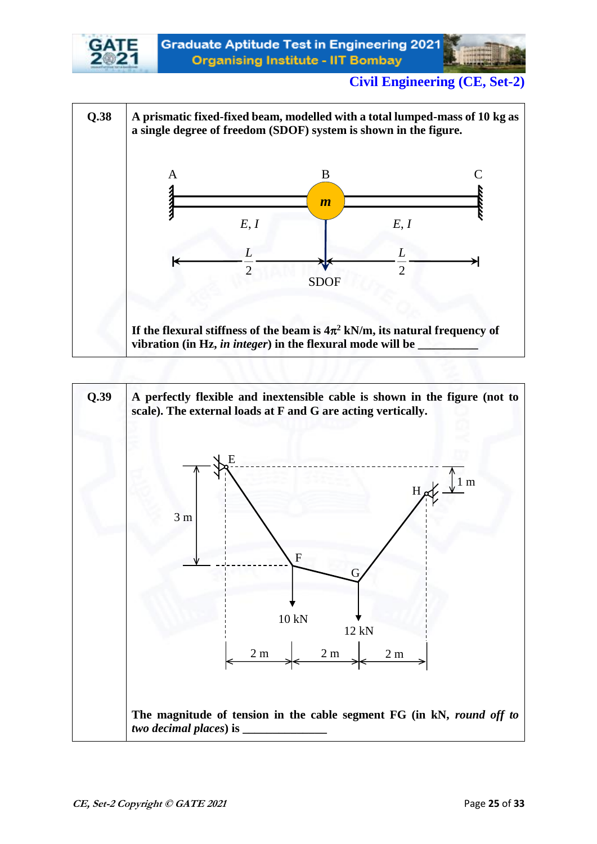

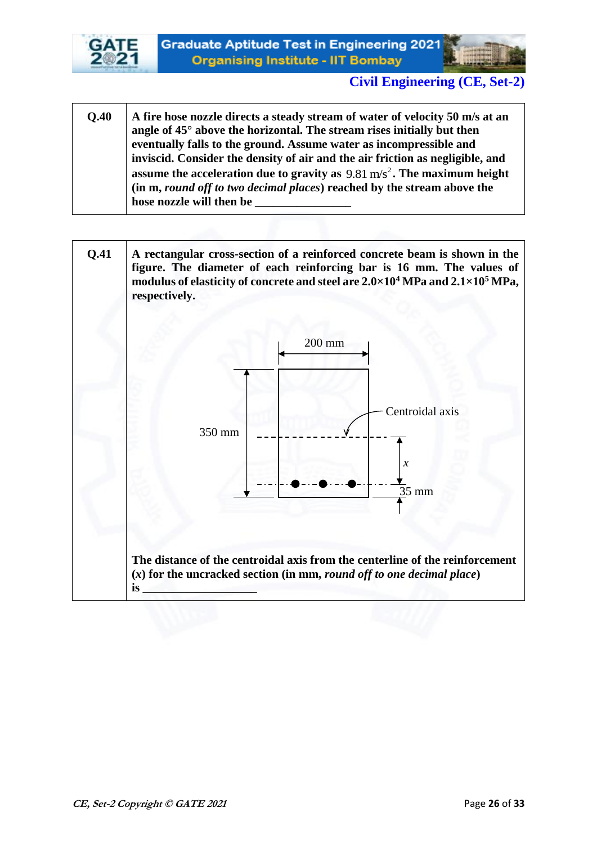



- **Q.40 A fire hose nozzle directs a steady stream of water of velocity 50 m/s at an angle of 45° above the horizontal. The stream rises initially but then eventually falls to the ground. Assume water as incompressible and inviscid. Consider the density of air and the air friction as negligible, and assume the acceleration due to gravity as**  2 9.81 m/s **. The maximum height (in m,** *round off to two decimal places***) reached by the stream above the**  hose nozzle will then be
- **Q.41 A rectangular cross-section of a reinforced concrete beam is shown in the figure. The diameter of each reinforcing bar is 16 mm. The values of modulus of elasticity of concrete and steel are 2.0×10<sup>4</sup> MPa and 2.1×10<sup>5</sup> MPa, respectively. The distance of the centroidal axis from the centerline of the reinforcement (***x***) for the uncracked section (in mm,** *round off to one decimal place***) is \_\_\_\_\_\_\_\_\_\_\_\_\_\_\_\_\_\_\_**  Centroidal axis *x* 350 mm 35 mm 200 mm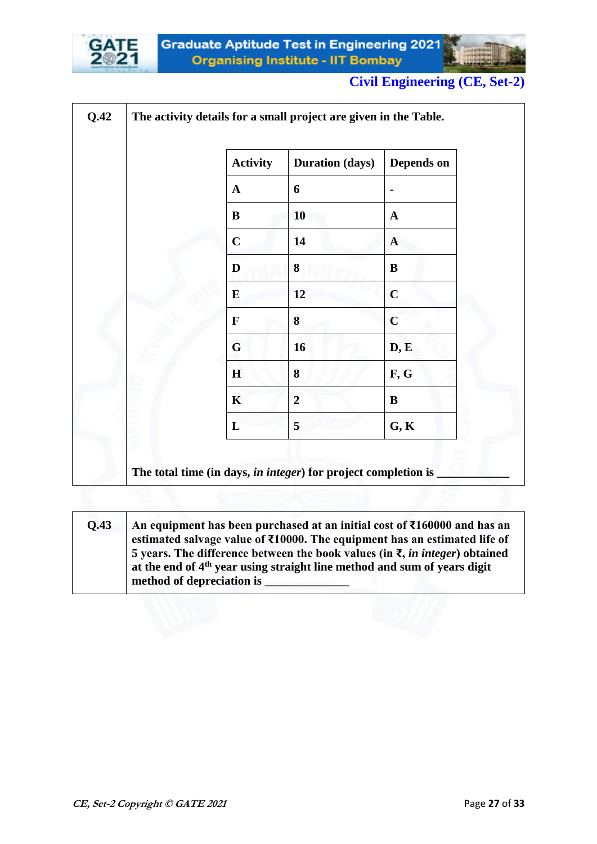



| <b>Activity</b> | <b>Duration (days)</b> | Depends on   |
|-----------------|------------------------|--------------|
| $\mathbf{A}$    | 6                      |              |
| B               | 10                     | $\mathbf{A}$ |
| $\mathbf C$     | 14                     | $\mathbf{A}$ |
| D               | 8                      | B            |
| ${\bf E}$       | 12                     | $\mathbf C$  |
| $\mathbf F$     | 8                      | $\mathbf C$  |
| $\mathbf G$     | 16                     | D, E         |
| H               | 8                      | F, G         |
| $\mathbf K$     | $\overline{2}$         | B            |
| L               | 5                      | G, K         |

**Q.43 An equipment has been purchased at an initial cost of ₹160000 and has an estimated salvage value of ₹10000. The equipment has an estimated life of 5 years. The difference between the book values (in ₹,** *in integer***) obtained at the end of 4th year using straight line method and sum of years digit method of depreciation is \_\_\_\_\_\_\_\_\_\_\_\_\_\_**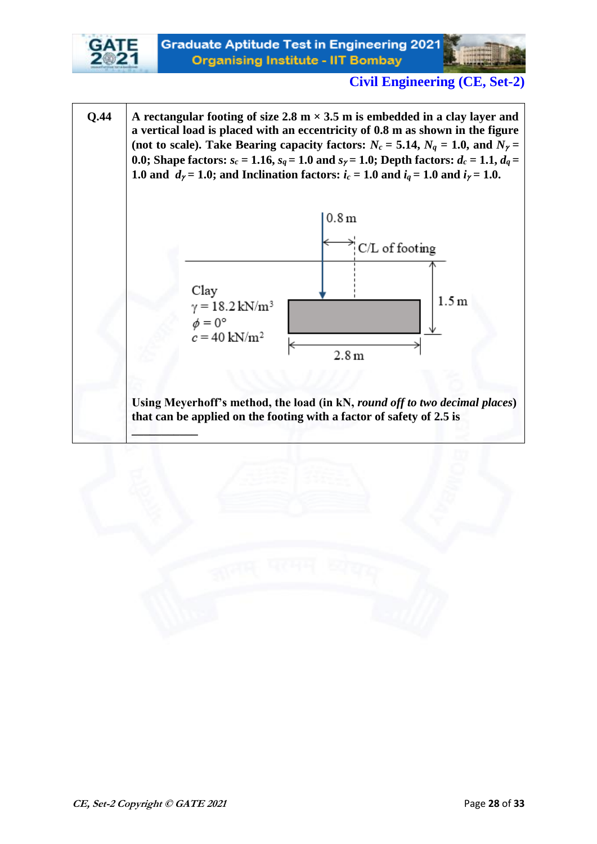

**Q.44 A** rectangular footing of size 2.8 m  $\times$  3.5 m is embedded in a clay layer and **a vertical load is placed with an eccentricity of 0.8 m as shown in the figure**  (not to scale). Take Bearing capacity factors:  $N_c = 5.14$ ,  $N_q = 1.0$ , and  $N_\gamma =$ **0.0;** Shape factors:  $s_c = 1.16$ ,  $s_q = 1.0$  and  $s_\gamma = 1.0$ ; Depth factors:  $d_c = 1.1$ ,  $d_q =$ **1.0 and**  $d_{\gamma} = 1.0$ ; and Inclination factors:  $i_c = 1.0$  and  $i_q = 1.0$  and  $i_{\gamma} = 1.0$ .



**Using Meyerhoff's method, the load (in kN,** *round off to two decimal places***) that can be applied on the footing with a factor of safety of 2.5 is** 

**\_\_\_\_\_\_\_\_\_\_\_**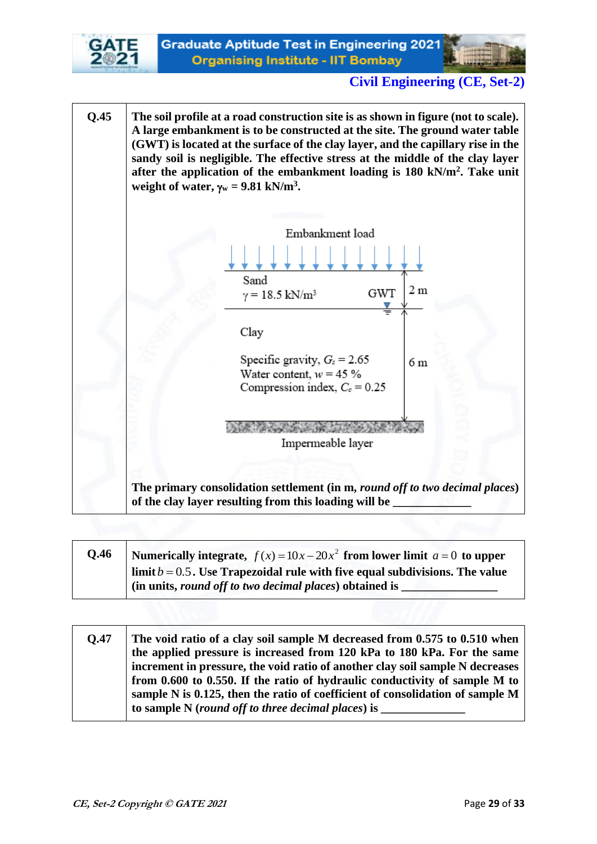



**Q.45 The soil profile at a road construction site is as shown in figure (not to scale). A large embankment is to be constructed at the site. The ground water table (GWT) is located at the surface of the clay layer, and the capillary rise in the sandy soil is negligible. The effective stress at the middle of the clay layer after the application of the embankment loading is 180 kN/m<sup>2</sup> . Take unit weight of water,**  $\gamma_w = 9.81 \text{ kN/m}^3$ . Embankment load Sand 2 m **GWT**  $\gamma = 18.5 \text{ kN/m}^3$ Clay Specific gravity,  $G_s = 2.65$  $6<sub>m</sub>$ Water content,  $w = 45 \%$ Compression index,  $C_c = 0.25$ Impermeable layer **The primary consolidation settlement (in m,** *round off to two decimal places***) of the clay layer resulting from this loading will be \_\_\_\_\_\_\_\_\_\_\_\_\_** 

| Q.46 | Numerically integrate, $f(x) = 10x - 20x^2$ from lower limit $a = 0$ to upper  |
|------|--------------------------------------------------------------------------------|
|      | limit $b = 0.5$ . Use Trapezoidal rule with five equal subdivisions. The value |
|      | (in units, round off to two decimal places) obtained is                        |

**Q.47 The void ratio of a clay soil sample M decreased from 0.575 to 0.510 when the applied pressure is increased from 120 kPa to 180 kPa. For the same increment in pressure, the void ratio of another clay soil sample N decreases from 0.600 to 0.550. If the ratio of hydraulic conductivity of sample M to sample N is 0.125, then the ratio of coefficient of consolidation of sample M**  to sample N (*round off to three decimal places*) is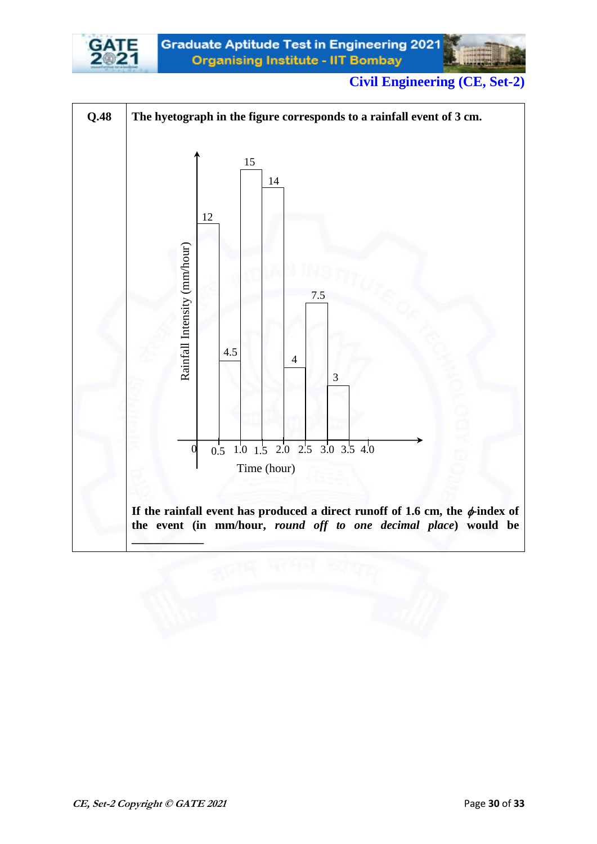

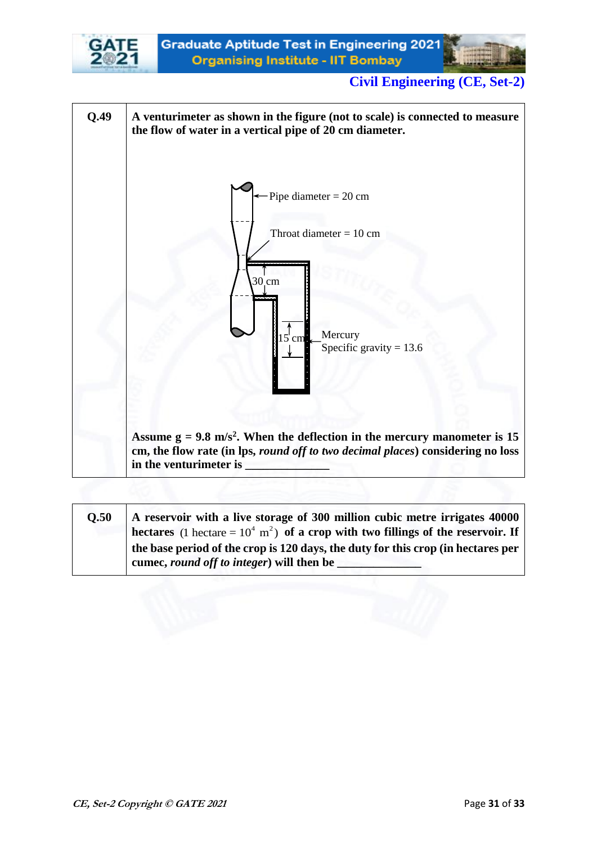



| O.50 | A reservoir with a live storage of 300 million cubic metre irrigates 40000                     |
|------|------------------------------------------------------------------------------------------------|
|      | hectares (1 hectare = $10^4$ m <sup>2</sup> ) of a crop with two fillings of the reservoir. If |
|      | the base period of the crop is 120 days, the duty for this crop (in hectares per               |
|      | cumec, round off to integer) will then be                                                      |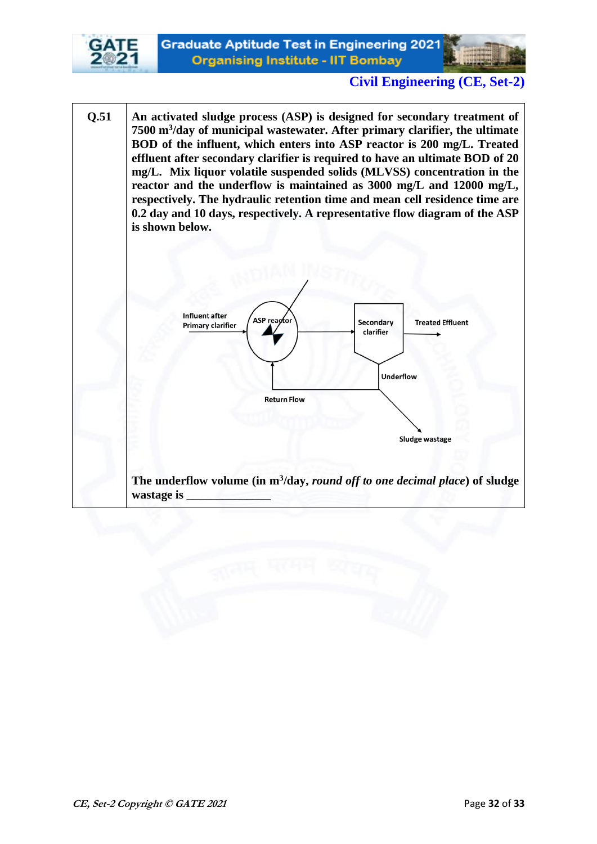



**Q.51 An activated sludge process (ASP) is designed for secondary treatment of 7500 m<sup>3</sup> /day of municipal wastewater. After primary clarifier, the ultimate BOD of the influent, which enters into ASP reactor is 200 mg/L. Treated effluent after secondary clarifier is required to have an ultimate BOD of 20 mg/L. Mix liquor volatile suspended solids (MLVSS) concentration in the reactor and the underflow is maintained as 3000 mg/L and 12000 mg/L, respectively. The hydraulic retention time and mean cell residence time are 0.2 day and 10 days, respectively. A representative flow diagram of the ASP is shown below.**



**The underflow volume (in m<sup>3</sup> /day,** *round off to one decimal place***) of sludge wastage is \_\_\_\_\_\_\_\_\_\_\_\_\_\_**